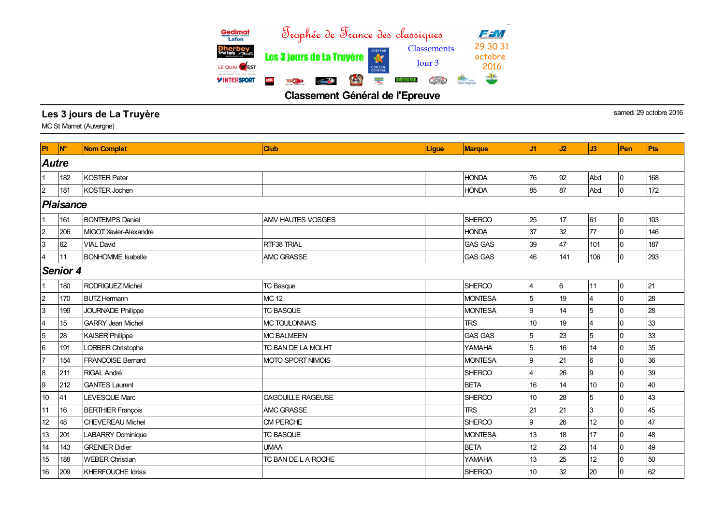

Classement Général de l'Epreuve

## Les 3 jours de La Truyère samedi 29 octobre 2016

MC St Mamet (Auvergne)

| <b>PI</b>                 | $\mathbf{N}^{\circ}$ | <b>Nom Complet</b>       | <b>Club</b>              | <b>Ligue</b> | <b>Marque</b>  | J1             | J2  | J3             | Pen            | <b>Pts</b> |
|---------------------------|----------------------|--------------------------|--------------------------|--------------|----------------|----------------|-----|----------------|----------------|------------|
|                           | <b>Autre</b>         |                          |                          |              |                |                |     |                |                |            |
|                           | 182                  | <b>KOSTER Peter</b>      |                          |              | <b>HONDA</b>   | 76             | 92  | Abd.           | 0              | 168        |
| $\overline{c}$            | 181                  | <b>KOSTER Jochen</b>     |                          |              | <b>HONDA</b>   | 85             | 87  | Abd.           | $\Omega$       | 172        |
|                           | Plaisance            |                          |                          |              |                |                |     |                |                |            |
|                           | 161                  | <b>BONTEMPS Daniel</b>   | <b>AMV HAUTES VOSGES</b> |              | <b>SHERCO</b>  | 25             | 17  | 61             | 0              | 103        |
| $\overline{c}$            | 206                  | MIGOT Xavier-Alexandre   |                          |              | <b>HONDA</b>   | 37             | 32  | 77             | $\Omega$       | 146        |
| 3                         | 62                   | <b>VIAL David</b>        | RTF38 TRIAL              |              | <b>GAS GAS</b> | 39             | 47  | 101            | $\Omega$       | 187        |
| 4                         | 11                   | <b>BONHOMME</b> Isabelle | <b>AMC GRASSE</b>        |              | <b>GAS GAS</b> | 46             | 141 | 106            | $\Omega$       | 293        |
|                           | <b>Senior 4</b>      |                          |                          |              |                |                |     |                |                |            |
|                           | 180                  | <b>RODRIGUEZ Michel</b>  | <b>TC Basque</b>         |              | <b>SHERCO</b>  | $\overline{4}$ | 6   | 11             | 0              | 21         |
| $\overline{c}$            | 170                  | <b>BUTZ Hermann</b>      | <b>MC 12</b>             |              | <b>MONTESA</b> | 5              | 19  | 4              | $\Omega$       | 28         |
| $\ensuremath{\mathsf{3}}$ | 199                  | <b>JOURNADE Philippe</b> | <b>TC BASQUE</b>         |              | <b>MONTESA</b> | 9              | 14  | 5              | $\Omega$       | 28         |
| $\overline{\mathbf{4}}$   | 15                   | <b>GARRY Jean Michel</b> | <b>MC TOULONNAIS</b>     |              | <b>TRS</b>     | 10             | 19  | 4              | $\Omega$       | 33         |
| $\overline{5}$            | 28                   | <b>KAISER Philippe</b>   | <b>MC BALMEEN</b>        |              | <b>GAS GAS</b> | 5              | 23  | 5              | $\Omega$       | 33         |
| $\,6$                     | 191                  | LORBER Christophe        | TC BAN DE LA MOLHT       |              | <b>YAMAHA</b>  | $\overline{5}$ | 16  | 14             | $\Omega$       | 35         |
| $\overline{7}$            | 154                  | <b>FRANCOISE Bernard</b> | <b>MOTO SPORT NIMOIS</b> |              | <b>MONTESA</b> | 9              | 21  | $6\phantom{a}$ | $\Omega$       | 36         |
| $\bf8$                    | 211                  | RIGAL André              |                          |              | <b>SHERCO</b>  | $\overline{4}$ | 26  | 9              | 0              | 39         |
| $\boldsymbol{9}$          | 212                  | <b>GANTES Laurent</b>    |                          |              | <b>BETA</b>    | 16             | 14  | 10             | $\overline{0}$ | 40         |
| 10                        | 41                   | LEVESQUE Marc            | CAGOUILLE RAGEUSE        |              | <b>SHERCO</b>  | 10             | 28  | 5              | $\Omega$       | 43         |
| 11                        | 16                   | <b>BERTHIER François</b> | <b>AMC GRASSE</b>        |              | <b>TRS</b>     | 21             | 21  | 3              | $\overline{0}$ | 45         |
| 12                        | 48                   | <b>CHEVEREAU Michel</b>  | CM PERCHE                |              | <b>SHERCO</b>  | 9              | 26  | 12             | $\Omega$       | 47         |
| 13                        | 201                  | <b>LABARRY Dominique</b> | <b>TC BASQUE</b>         |              | <b>MONTESA</b> | 13             | 18  | 17             | $\Omega$       | 48         |
| 14                        | 143                  | <b>GRENIER Didier</b>    | <b>UMAA</b>              |              | <b>BETA</b>    | 12             | 23  | 14             | $\Omega$       | 49         |
| 15                        | 188                  | <b>WEBER Christian</b>   | TC BAN DE L A ROCHE      |              | <b>YAMAHA</b>  | 13             | 25  | 12             | $\Omega$       | 50         |
| 16                        | 209                  | <b>KHERFOUCHE Idriss</b> |                          |              | <b>SHERCO</b>  | 10             | 32  | 20             | $\overline{0}$ | 62         |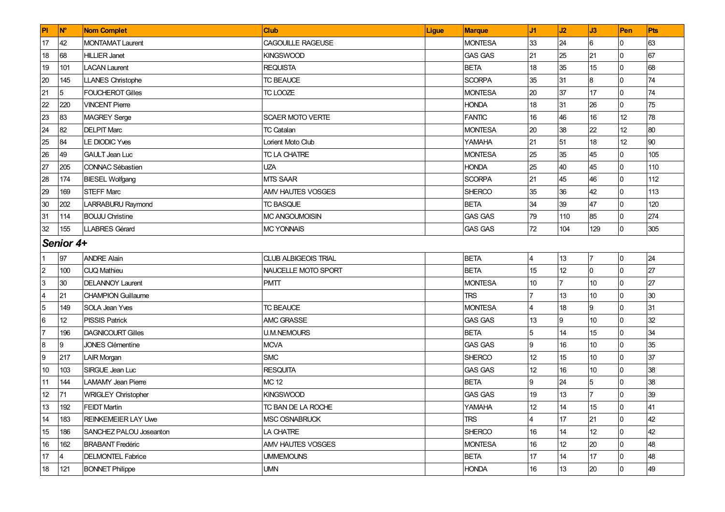| PI                      | <b>N°</b>       | <b>Nom Complet</b>         | <b>Club</b>                 | <b>Ligue</b> | <b>Marque</b>  | J1                | J2              | J3             | Pen             | Pts |
|-------------------------|-----------------|----------------------------|-----------------------------|--------------|----------------|-------------------|-----------------|----------------|-----------------|-----|
| 17                      | 42              | <b>MONTAMAT Laurent</b>    | CAGOUILLE RAGEUSE           |              | <b>MONTESA</b> | 33                | 24              | 6              | 0               | 63  |
| 18                      | 68              | <b>HILLIER Janet</b>       | <b>KINGSWOOD</b>            |              | <b>GAS GAS</b> | 21                | 25              | 21             | $\Omega$        | 67  |
| 19                      | 101             | <b>LACAN Laurent</b>       | <b>REQUISTA</b>             |              | <b>BETA</b>    | 18                | 35              | 15             | $\Omega$        | 68  |
| 20                      | 145             | <b>LLANES Christophe</b>   | <b>TC BEAUCE</b>            |              | <b>SCORPA</b>  | 35                | 31              | 8              | $\Omega$        | 74  |
| 21                      | 5               | <b>FOUCHEROT Gilles</b>    | TC LOOZE                    |              | <b>MONTESA</b> | 20                | 37              | 17             | $\Omega$        | 74  |
| 22                      | 220             | <b>VINCENT Pierre</b>      |                             |              | <b>HONDA</b>   | 18                | 31              | 26             | $\Omega$        | 75  |
| 23                      | 83              | <b>MAGREY Serge</b>        | <b>SCAER MOTO VERTE</b>     |              | <b>FANTIC</b>  | 16                | 46              | 16             | 12 <sup>°</sup> | 78  |
| 24                      | 82              | <b>DELPIT Marc</b>         | <b>TC Catalan</b>           |              | <b>MONTESA</b> | 20                | 38              | 22             | 12 <sup>°</sup> | 80  |
| 25                      | 84              | <b>LE DIODIC Yves</b>      | Lorient Moto Club           |              | YAMAHA         | 21                | 51              | 18             | 12              | 90  |
| 26                      | 49              | <b>GAULT Jean Luc</b>      | TC LA CHATRE                |              | <b>MONTESA</b> | 25                | 35              | 45             | $\Omega$        | 105 |
| 27                      | 205             | CONNAC Sébastien           | <b>UZA</b>                  |              | <b>HONDA</b>   | 25                | 40              | 45             | $\Omega$        | 110 |
| 28                      | 174             | <b>BIESEL Wolfgang</b>     | MTS SAAR                    |              | <b>SCORPA</b>  | 21                | 45              | 46             | $\Omega$        | 112 |
| 29                      | 169             | <b>STEFF Marc</b>          | AMV HAUTES VOSGES           |              | <b>SHERCO</b>  | 35                | 36              | 42             | $\Omega$        | 113 |
| $30\,$                  | 202             | LARRABURU Raymond          | <b>TC BASQUE</b>            |              | <b>BETA</b>    | 34                | 39              | 47             | $\Omega$        | 120 |
| 31                      | 114             | <b>BOUJU Christine</b>     | MC ANGOUMOISIN              |              | <b>GAS GAS</b> | 79                | 110             | 85             | $\Omega$        | 274 |
| 32                      | 155             | <b>LLABRES Gérard</b>      | <b>MC YONNAIS</b>           |              | <b>GAS GAS</b> | 72                | 104             | 129            | <sup>0</sup>    | 305 |
|                         | Senior 4+       |                            |                             |              |                |                   |                 |                |                 |     |
| 1                       | 97              | <b>ANDRE Alain</b>         | <b>CLUB ALBIGEOIS TRIAL</b> |              | <b>BETA</b>    | 4                 | 13              | $\overline{7}$ | 0               | 24  |
| $\overline{2}$          | 100             | <b>CUQ Mathieu</b>         | NAUCELLE MOTO SPORT         |              | <b>BETA</b>    | 15                | 12              | $\overline{0}$ | $\Omega$        | 27  |
| $\mathbf{3}$            | 30 <sup>°</sup> | <b>DELANNOY Laurent</b>    | <b>PMTT</b>                 |              | <b>MONTESA</b> | 10                | 7               | 10             | 0               | 27  |
| $\overline{\mathbf{4}}$ | 21              | <b>CHAMPION Guillaume</b>  |                             |              | <b>TRS</b>     |                   | 13              | 10             | $\Omega$        | 30  |
| $\overline{5}$          | 149             | <b>SOLA Jean Yves</b>      | <b>TC BEAUCE</b>            |              | <b>MONTESA</b> |                   | 18              | 9              | 0               | 31  |
| $6\phantom{.}6$         | 12              | <b>PISSIS Patrick</b>      | <b>AMC GRASSE</b>           |              | <b>GAS GAS</b> | 13                | 9               | 10             | 0               | 32  |
| $\overline{7}$          | 196             | <b>DAGNICOURT Gilles</b>   | <b>U.M.NEMOURS</b>          |              | <b>BETA</b>    | 5                 | 14              | 15             | $\Omega$        | 34  |
| $\bf{8}$                | Ι9              | <b>JONES Clémentine</b>    | <b>MCVA</b>                 |              | <b>GAS GAS</b> | 9                 | 16              | 10             | 0               | 35  |
| 9                       | 217             | <b>LAIR Morgan</b>         | <b>SMC</b>                  |              | <b>SHERCO</b>  | 12                | 15              | 10             | $\Omega$        | 37  |
| 10                      | 103             | SIRGUE Jean Luc            | <b>RESQUITA</b>             |              | <b>GAS GAS</b> | $12 \overline{ }$ | 16              | 10             | $\Omega$        | 38  |
| 11                      | 144             | <b>LAMAMY Jean Pierre</b>  | <b>MC 12</b>                |              | <b>BETA</b>    | 9                 | 24              | 5              | 0               | 38  |
| 12                      | 71              | <b>WRIGLEY Christopher</b> | <b>KINGSWOOD</b>            |              | <b>GAS GAS</b> | 19                | 13              | $\overline{7}$ | $\Omega$        | 39  |
| 13                      | 192             | <b>FEIDT Martin</b>        | TC BAN DE LA ROCHE          |              | <b>YAMAHA</b>  | 12                | 14              | 15             | l0              | 41  |
| 14                      | 183             | <b>REINKEMEIER LAY Uwe</b> | MSC OSNABRUCK               |              | <b>TRS</b>     |                   | 17              | 21             | $\Omega$        | 42  |
| 15                      | 186             | SANCHEZ PALOU Joseanton    | LA CHATRE                   |              | <b>SHERCO</b>  | 16                | 14              | 12             | 0               | 42  |
| 16                      | 162             | <b>BRABANT Fredéric</b>    | AMV HAUTES VOSGES           |              | <b>MONTESA</b> | 16                | 12 <sup>°</sup> | 20             | $\Omega$        | 48  |
| 17                      | 4               | <b>DELMONTEL Fabrice</b>   | <b>UMMEMOUNS</b>            |              | <b>BETA</b>    | 17                | 14              | 17             | $\Omega$        | 48  |
| 18                      | 121             | <b>BONNET Philippe</b>     | <b>UMN</b>                  |              | <b>HONDA</b>   | 16                | 13              | 20             | 0               | 49  |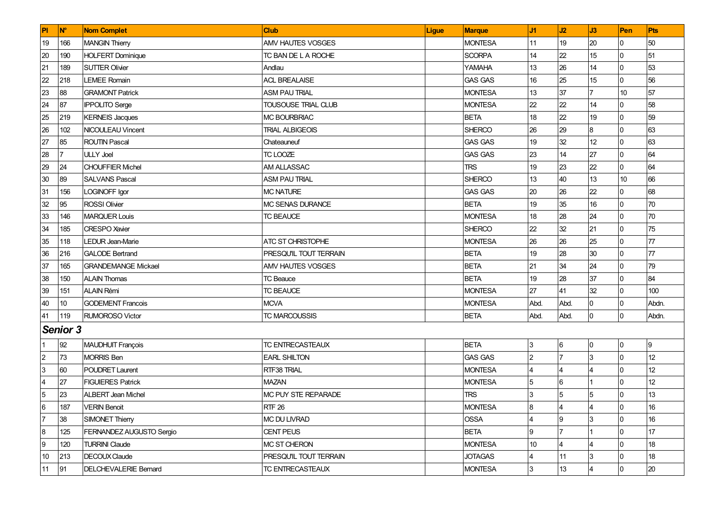| PI               | <b>N°</b>       | <b>Nom Complet</b>           | Club                          | Ligue | <b>Marque</b>  | J1             | J2              | J3                      | Pen             | Pts   |
|------------------|-----------------|------------------------------|-------------------------------|-------|----------------|----------------|-----------------|-------------------------|-----------------|-------|
| 19               | 166             | <b>MANGIN Thierry</b>        | <b>AMV HAUTES VOSGES</b>      |       | <b>MONTESA</b> | 11             | 19              | 20                      | 0               | 50    |
| 20               | 190             | <b>HOLFERT Dominique</b>     | TC BAN DE L A ROCHE           |       | <b>SCORPA</b>  | 14             | 22              | 15                      | l0              | 51    |
| 21               | 189             | <b>SUTTER Olivier</b>        | Andlau                        |       | <b>YAMAHA</b>  | 13             | 26              | 14                      | $\overline{0}$  | 53    |
| 22               | 218             | <b>LEMEE Romain</b>          | <b>ACL BREALAISE</b>          |       | <b>GAS GAS</b> | 16             | 25              | 15                      | 0               | 56    |
| 23               | 88              | <b>GRAMONT Patrick</b>       | <b>ASM PAU TRIAL</b>          |       | <b>MONTESA</b> | 13             | 37              | 7                       | 10 <sup>°</sup> | 57    |
| 24               | 87              | <b>IPPOLITO Serge</b>        | <b>TOUSOUSE TRIAL CLUB</b>    |       | <b>MONTESA</b> | 22             | 22              | 14                      | 0               | 58    |
| 25               | 219             | <b>KERNEIS Jacques</b>       | <b>MC BOURBRIAC</b>           |       | <b>BETA</b>    | 18             | 22              | 19                      | $\overline{0}$  | 59    |
| 26               | 102             | NICOULEAU Vincent            | <b>TRIAL ALBIGEOIS</b>        |       | <b>SHERCO</b>  | 26             | 29              | $\bf{8}$                | $\overline{0}$  | 63    |
| 27               | 85              | <b>ROUTIN Pascal</b>         | Chateauneuf                   |       | <b>GAS GAS</b> | 19             | 32              | 12                      | $\overline{0}$  | 63    |
| 28               | 7               | <b>ULLY Joel</b>             | TC LOOZE                      |       | <b>GAS GAS</b> | 23             | 14              | 27                      | l0              | 64    |
| 29               | 24              | <b>CHOUFFIER Michel</b>      | <b>AM ALLASSAC</b>            |       | <b>TRS</b>     | 19             | 23              | 22                      | $\overline{0}$  | 64    |
| 30               | 89              | <b>SALVANS Pascal</b>        | <b>ASM PAU TRIAL</b>          |       | <b>SHERCO</b>  | 13             | 40              | 13                      | 10              | 66    |
| 31               | 156             | LOGINOFF Igor                | <b>MC NATURE</b>              |       | <b>GAS GAS</b> | 20             | 26              | 22                      | 0               | 68    |
| 32               | 95              | <b>ROSSI Olivier</b>         | <b>IMC SENAS DURANCE</b>      |       | <b>BETA</b>    | 19             | 35              | 16                      | $\overline{0}$  | 70    |
| 33               | 146             | <b>MARQUER Louis</b>         | <b>TC BEAUCE</b>              |       | <b>MONTESA</b> | 18             | 28              | 24                      | 0               | 70    |
| 34               | 185             | <b>CRESPO</b> Xavier         |                               |       | <b>SHERCO</b>  | 22             | 32              | 21                      | $\overline{0}$  | 75    |
| 35               | 118             | <b>LEDUR Jean-Marie</b>      | <b>ATC ST CHRISTOPHE</b>      |       | <b>MONTESA</b> | 26             | 26              | 25                      | $\overline{0}$  | 77    |
| 36               | 216             | <b>GALODE Bertrand</b>       | <b>PRESQU'IL TOUT TERRAIN</b> |       | <b>BETA</b>    | 19             | 28              | 30                      | $\overline{0}$  | 77    |
| 37               | 165             | <b>GRANDEMANGE Mickael</b>   | <b>AMV HAUTES VOSGES</b>      |       | <b>BETA</b>    | 21             | 34              | 24                      | l0              | 79    |
| 38               | 150             | <b>ALAIN Thomas</b>          | <b>TC Beauce</b>              |       | <b>BETA</b>    | 19             | 28              | 37                      | 0               | 84    |
| 39               | 151             | <b>ALAIN Rémi</b>            | <b>TC BEAUCE</b>              |       | <b>MONTESA</b> | 27             | 41              | 32                      | 0               | 100   |
| 40               | 10 <sup>°</sup> | <b>GODEMENT Francois</b>     | <b>MCVA</b>                   |       | <b>MONTESA</b> | Abd.           | Abd.            | $\overline{0}$          | 0               | Abdn. |
| 41               | 119             | <b>RUMOROSO Victor</b>       | <b>TC MARCOUSSIS</b>          |       | <b>BETA</b>    | Abd.           | Abd.            | $\overline{0}$          | l0              | Abdn. |
|                  | <b>Senior 3</b> |                              |                               |       |                |                |                 |                         |                 |       |
| 1                | 92              | <b>MAUDHUIT François</b>     | <b>TC ENTRECASTEAUX</b>       |       | <b>BETA</b>    | 3              | 6               | 0                       | 0               | 9     |
| $\overline{c}$   | 73              | <b>MORRIS Ben</b>            | <b>EARL SHILTON</b>           |       | GAS GAS        | $\overline{2}$ | 17              | 3                       | $\overline{0}$  | 12    |
| $\overline{3}$   | 60              | <b>POUDRET Laurent</b>       | RTF38 TRIAL                   |       | <b>MONTESA</b> |                | $\overline{4}$  | 4                       | $\overline{0}$  | 12    |
| $\overline{4}$   | 27              | <b>FIGUIERES Patrick</b>     | <b>MAZAN</b>                  |       | <b>MONTESA</b> | 5              | $6\phantom{.}6$ |                         | $\overline{0}$  | 12    |
| 5                | 23              | <b>ALBERT Jean Michel</b>    | MC PUY STE REPARADE           |       | <b>TRS</b>     |                | 5               | $\overline{5}$          | $\overline{0}$  | 13    |
| $\,6$            | 187             | <b>VERIN Benoit</b>          | <b>RTF 26</b>                 |       | <b>MONTESA</b> | 8              | 4               | 4                       | l0              | 16    |
| 7                | 38              | SIMONET Thierry              | MC DU LIVRAD                  |       | <b>OSSA</b>    | 4              | 9               | 3                       | l0              | 16    |
| $\bf 8$          | 125             | FERNANDEZ AUGUSTO Sergio     | <b>CENT PEUS</b>              |       | <b>BETA</b>    | 9              |                 |                         | 0               | 17    |
| $\boldsymbol{9}$ | 120             | <b>TURRINI Claude</b>        | <b>MC ST CHERON</b>           |       | <b>MONTESA</b> | 10             | 4               | 4                       | $\overline{0}$  | 18    |
| $10$             | 213             | DECOUX Claude                | <b>PRESQU'IL TOUT TERRAIN</b> |       | <b>JOTAGAS</b> | 4              | 11              | $\mathbf{3}$            | 0               | 18    |
| 11               | 91              | <b>DELCHEVALERIE Bernard</b> | TC ENTRECASTEAUX              |       | <b>MONTESA</b> | 3              | 13              | $\overline{\mathbf{4}}$ | $\overline{0}$  | 20    |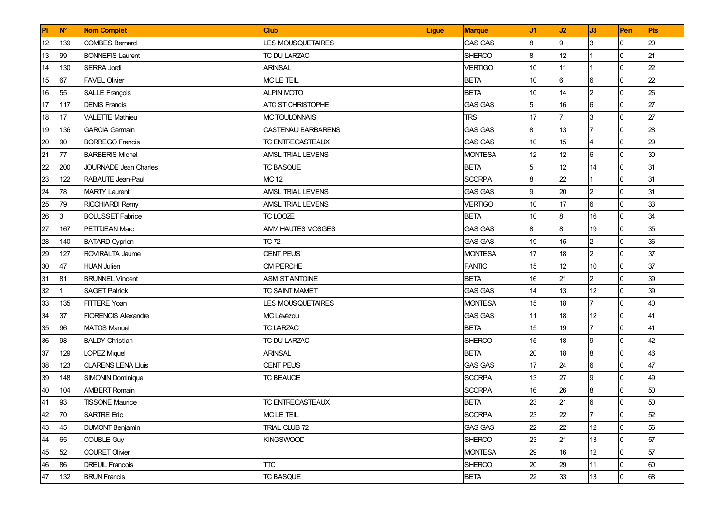| PI     | <b>N°</b> | <b>Nom Complet</b>           | <b>Club</b>               | <b>Ligue</b> | <b>Marque</b>  | J1              | J2             | J3             | Pen            | Pts |
|--------|-----------|------------------------------|---------------------------|--------------|----------------|-----------------|----------------|----------------|----------------|-----|
| 12     | 139       | <b>COMBES Bemard</b>         | <b>LES MOUSQUETAIRES</b>  |              | <b>GAS GAS</b> | 8               | 9              | 3              | 0              | 20  |
| 13     | 99        | <b>BONNEFIS Laurent</b>      | TC DU LARZAC              |              | <b>SHERCO</b>  | 8               | 12             |                | $\overline{0}$ | 21  |
| 14     | 130       | SERRA Jordi                  | <b>ARINSAL</b>            |              | <b>VERTIGO</b> | 10              | 11             |                | $\overline{0}$ | 22  |
| 15     | 67        | <b>FAVEL Olivier</b>         | <b>MC LE TEIL</b>         |              | <b>BETA</b>    | 10              | 6              | $6\phantom{.}$ | 0              | 22  |
| 16     | 55        | <b>SALLE François</b>        | <b>ALPIN MOTO</b>         |              | <b>BETA</b>    | 10              | 14             | $\overline{2}$ | $\overline{0}$ | 26  |
| 17     | 117       | <b>DENIS Francis</b>         | <b>ATC ST CHRISTOPHE</b>  |              | <b>GAS GAS</b> | 5               | 16             | $6\phantom{.}$ | $\overline{0}$ | 27  |
| 18     | 17        | <b>VALETTE Mathieu</b>       | <b>MC TOULONNAIS</b>      |              | <b>TRS</b>     | 17              | $\overline{7}$ | 3              | $\overline{0}$ | 27  |
| 19     | 136       | <b>GARCIA Germain</b>        | <b>CASTENAU BARBARENS</b> |              | <b>GAS GAS</b> | 8               | 13             |                | $\Omega$       | 28  |
| 20     | 90        | <b>BORREGO Francis</b>       | TC ENTRECASTEAUX          |              | <b>GAS GAS</b> | 10              | 15             | $\overline{4}$ | $\overline{0}$ | 29  |
| 21     | 77        | <b>BARBERIS Michel</b>       | AMSL TRIAL LEVENS         |              | <b>MONTESA</b> | 12 <sup>°</sup> | 12             | $6\phantom{.}$ | $\overline{0}$ | 30  |
| 22     | 200       | <b>JOURNADE Jean Charles</b> | <b>TC BASQUE</b>          |              | <b>BETA</b>    | 5               | 12             | 14             | $\overline{0}$ | 31  |
| 23     | 122       | <b>RABAUTE Jean-Paul</b>     | <b>MC 12</b>              |              | <b>SCORPA</b>  | 8               | 22             |                | $\overline{0}$ | 31  |
| 24     | 78        | <b>MARTY Laurent</b>         | <b>AMSL TRIAL LEVENS</b>  |              | <b>GAS GAS</b> | 9               | 20             | $\overline{2}$ | $\Omega$       | 31  |
| 25     | 79        | <b>RICCHIARDI Remy</b>       | <b>AMSL TRIAL LEVENS</b>  |              | <b>VERTIGO</b> | 10              | 17             | $6\phantom{a}$ | $\overline{0}$ | 33  |
| 26     | 3         | <b>BOLUSSET Fabrice</b>      | TC LOOZE                  |              | <b>BETA</b>    | 10              | 8              | 16             | $\overline{0}$ | 34  |
| 27     | 167       | PETITJEAN Marc               | <b>AMV HAUTES VOSGES</b>  |              | <b>GAS GAS</b> | 8               | 8              | 19             | $\overline{0}$ | 35  |
| 28     | 140       | <b>BATARD Cyprien</b>        | <b>TC 72</b>              |              | <b>GAS GAS</b> | 19              | 15             | $\overline{2}$ | $\overline{0}$ | 36  |
| 29     | 127       | ROVIRALTA Jaume              | <b>CENT PEUS</b>          |              | <b>MONTESA</b> | 17              | 18             | $\overline{2}$ | $\overline{0}$ | 37  |
| $30\,$ | 47        | <b>HUAN Julien</b>           | CM PERCHE                 |              | <b>FANTIC</b>  | 15              | 12             | 10             | 0              | 37  |
| 31     | 81        | <b>BRUNNEL Vincent</b>       | <b>ASM ST ANTOINE</b>     |              | <b>BETA</b>    | 16              | 21             | $\overline{2}$ | $\Omega$       | 39  |
| 32     |           | <b>SAGET Patrick</b>         | TC SAINT MAMET            |              | <b>GAS GAS</b> | 14              | 13             | 12             | $\overline{0}$ | 39  |
| 33     | 135       | <b>FITTERE Yoan</b>          | <b>LES MOUSQUETAIRES</b>  |              | <b>MONTESA</b> | 15              | 18             | $\overline{7}$ | $\overline{0}$ | 40  |
| 34     | 37        | <b>FIORENCIS Alexandre</b>   | MC Lévézou                |              | <b>GAS GAS</b> | 11              | 18             | 12             | $\Omega$       | 41  |
| 35     | 96        | <b>MATOS Manuel</b>          | <b>TC LARZAC</b>          |              | <b>BETA</b>    | 15              | 19             |                | $\overline{0}$ | 41  |
| 36     | 98        | <b>BALDY Christian</b>       | TC DU LARZAC              |              | SHERCO         | 15              | 18             | 9              | <sup>0</sup>   | 42  |
| 37     | 129       | <b>LOPEZ Miquel</b>          | <b>ARINSAL</b>            |              | <b>BETA</b>    | 20              | 18             | 8              | $\overline{0}$ | 46  |
| 38     | 123       | CLARENS LENA Lluis           | CENT PEUS                 |              | <b>GAS GAS</b> | 17              | 24             | 6              | $\overline{0}$ | 47  |
| 39     | 148       | <b>SIMONIN Dominique</b>     | <b>TC BEAUCE</b>          |              | <b>SCORPA</b>  | 13              | 27             | 9              | $\overline{0}$ | 49  |
| 40     | 104       | <b>AMBERT Romain</b>         |                           |              | <b>SCORPA</b>  | 16              | 26             | $\bf{8}$       | $\overline{0}$ | 50  |
| 41     | 93        | <b>TISSONE Maurice</b>       | <b>TC ENTRECASTEAUX</b>   |              | <b>BETA</b>    | 23              | 21             | $6\phantom{a}$ | $\overline{0}$ | 50  |
| 42     | 70        | <b>SARTRE Eric</b>           | MC LE TEIL                |              | <b>SCORPA</b>  | 23              | 22             | 17             | 10             | 52  |
| 43     | 45        | <b>DUMONT Benjamin</b>       | TRIAL CLUB 72             |              | <b>GAS GAS</b> | 22              | 22             | 12             | 0              | 56  |
| 44     | 65        | COUBLE Guy                   | <b>KINGSWOOD</b>          |              | <b>SHERCO</b>  | 23              | 21             | 13             | 0              | 57  |
| 45     | 52        | <b>COURET Olivier</b>        |                           |              | <b>MONTESA</b> | 29              | 16             | 12             | 0              | 57  |
| 46     | 86        | <b>DREUIL Francois</b>       | <b>TTC</b>                |              | <b>SHERCO</b>  | 20              | 29             | 11             | 0              | 60  |
| 47     | 132       | <b>BRUN Francis</b>          | TC BASQUE                 |              | <b>BETA</b>    | 22              | 33             | 13             | $\overline{0}$ | 68  |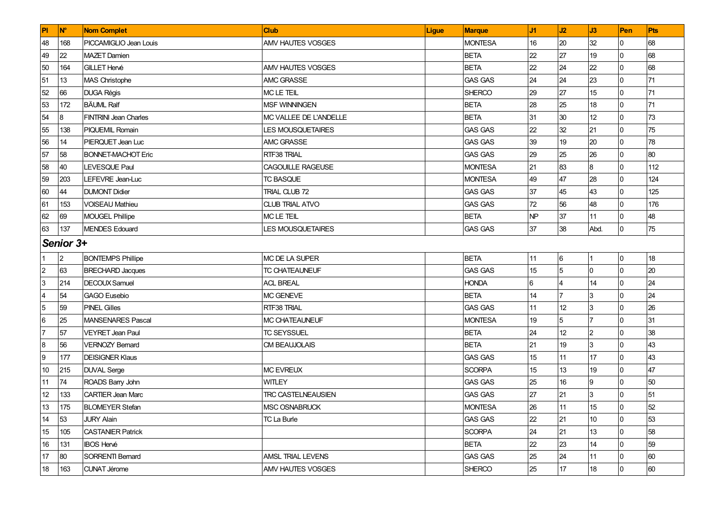| PI                      | <b>N°</b>      | <b>Nom Complet</b>           | <b>Club</b>               | <b>Ligue</b> | <b>Marque</b>  | J1 | J2             | J3             | Pen      | Pts |
|-------------------------|----------------|------------------------------|---------------------------|--------------|----------------|----|----------------|----------------|----------|-----|
| 48                      | 168            | PICCAMIGLIO Jean Louis       | AMV HAUTES VOSGES         |              | <b>MONTESA</b> | 16 | 20             | 32             | 0        | 68  |
| 49                      | 22             | <b>MAZET Damien</b>          |                           |              | <b>BETA</b>    | 22 | 27             | 19             | $\Omega$ | 68  |
| 50                      | 164            | <b>GILLET Hervé</b>          | <b>AMV HAUTES VOSGES</b>  |              | <b>BETA</b>    | 22 | 24             | 22             | $\Omega$ | 68  |
| 51                      | 13             | <b>MAS Christophe</b>        | <b>AMC GRASSE</b>         |              | <b>GAS GAS</b> | 24 | 24             | 23             | $\Omega$ | 71  |
| 52                      | 66             | <b>DUGA Régis</b>            | MC LE TEIL                |              | <b>SHERCO</b>  | 29 | 27             | 15             | $\Omega$ | 71  |
| 53                      | 172            | <b>BÄUML Ralf</b>            | <b>MSF WINNINGEN</b>      |              | <b>BETA</b>    | 28 | 25             | 18             | 0        | 71  |
| 54                      | 8              | <b>FINTRINI Jean Charles</b> | MC VALLEE DE L'ANDELLE    |              | <b>BETA</b>    | 31 | 30             | 12             | 0        | 73  |
| 55                      | 138            | <b>PIQUEMIL Romain</b>       | <b>LES MOUSQUETAIRES</b>  |              | <b>GAS GAS</b> | 22 | 32             | 21             | $\Omega$ | 75  |
| 56                      | 14             | PIERQUET Jean Luc            | <b>AMC GRASSE</b>         |              | <b>GAS GAS</b> | 39 | 19             | 20             | $\Omega$ | 78  |
| 57                      | 58             | <b>BONNET-MACHOT Eric</b>    | RTF38 TRIAL               |              | <b>GAS GAS</b> | 29 | 25             | 26             | $\Omega$ | 80  |
| 58                      | 40             | LEVESQUE Paul                | CAGOUILLE RAGEUSE         |              | <b>MONTESA</b> | 21 | 83             | 8              | 0        | 112 |
| 59                      | 203            | LEFEVRE Jean-Luc             | <b>TC BASQUE</b>          |              | <b>MONTESA</b> | 49 | 47             | 28             | 0        | 124 |
| 60                      | 44             | <b>DUMONT Didier</b>         | <b>TRIAL CLUB 72</b>      |              | <b>GAS GAS</b> | 37 | 45             | 43             | $\Omega$ | 125 |
| 61                      | 153            | <b>VOISEAU Mathieu</b>       | <b>CLUB TRIAL ATVO</b>    |              | <b>GAS GAS</b> | 72 | 56             | 48             | $\Omega$ | 176 |
| 62                      | 69             | <b>MOUGEL Phillipe</b>       | MC LE TEIL                |              | <b>BETA</b>    | NP | 37             | 11             | $\Omega$ | 48  |
| 63                      | 137            | <b>MENDES Edouard</b>        | <b>LES MOUSQUETAIRES</b>  |              | <b>GAS GAS</b> | 37 | 38             | Abd.           | $\Omega$ | 75  |
|                         | Senior 3+      |                              |                           |              |                |    |                |                |          |     |
| 1                       | $\overline{2}$ | <b>BONTEMPS Phillipe</b>     | MC DE LA SUPER            |              | <b>BETA</b>    | 11 | 6              |                | 0        | 18  |
| $\overline{2}$          | 63             | <b>BRECHARD Jacques</b>      | TC CHATEAUNEUF            |              | <b>GAS GAS</b> | 15 | 5              | $\overline{0}$ | $\Omega$ | 20  |
| $\overline{3}$          | 214            | DECOUX Samuel                | <b>ACL BREAL</b>          |              | <b>HONDA</b>   | 6  | 4              | 14             | 0        | 24  |
| $\overline{\mathbf{4}}$ | 54             | <b>GAGO</b> Eusebio          | <b>MC GENEVE</b>          |              | <b>BETA</b>    | 14 | $\overline{7}$ | 3              | 0        | 24  |
| $\overline{5}$          | 59             | <b>PINEL Gilles</b>          | RTF38 TRIAL               |              | <b>GAS GAS</b> | 11 | 12             | 3              | U        | 26  |
| $6\phantom{.}6$         | 25             | <b>MANSENARES Pascal</b>     | MC CHATEAUNEUF            |              | <b>MONTESA</b> | 19 | 5              | $\overline{7}$ | U        | 31  |
| 7                       | 57             | VEYRET Jean Paul             | <b>TC SEYSSUEL</b>        |              | <b>BETA</b>    | 24 | 12             | $\overline{c}$ | $\Omega$ | 38  |
| 8                       | 56             | <b>VERNOZY Bernard</b>       | CM BEAUJOLAIS             |              | <b>BETA</b>    | 21 | 19             | 3              | 0        | 43  |
| 9                       | 177            | <b>DEISIGNER Klaus</b>       |                           |              | <b>GAS GAS</b> | 15 | 11             | 17             | $\Omega$ | 43  |
| 10                      | 215            | <b>DUVAL Serge</b>           | <b>MC EVREUX</b>          |              | <b>SCORPA</b>  | 15 | 13             | 19             | $\Omega$ | 47  |
| 11                      | 74             | ROADS Barry John             | WITLEY                    |              | <b>GAS GAS</b> | 25 | 16             | 9              | U        | 50  |
| 12                      | 133            | <b>CARTIER Jean Marc</b>     | <b>TRC CASTELNEAUSIEN</b> |              | <b>GAS GAS</b> | 27 | 21             | 3              | $\Omega$ | 51  |
| 13                      | 175            | <b>BLOMEYER Stefan</b>       | MSC OSNABRUCK             |              | <b>MONTESA</b> | 26 | 11             | 15             | l0       | 52  |
| 14                      | 53             | <b>JURY Alain</b>            | TC La Burle               |              | <b>GAS GAS</b> | 22 | 21             | 10             | $\Omega$ | 53  |
| 15                      | 105            | <b>CASTANIER Patrick</b>     |                           |              | <b>SCORPA</b>  | 24 | 21             | 13             | 0        | 58  |
| 16                      | 131            | <b>IBOS Hervé</b>            |                           |              | <b>BETA</b>    | 22 | 23             | 14             | $\Omega$ | 59  |
| 17                      | 80             | SORRENTI Bernard             | AMSL TRIAL LEVENS         |              | <b>GAS GAS</b> | 25 | 24             | 11             | $\Omega$ | 60  |
| 18                      | 163            | <b>CUNAT Jérome</b>          | AMV HAUTES VOSGES         |              | <b>SHERCO</b>  | 25 | 17             | 18             | 0        | 60  |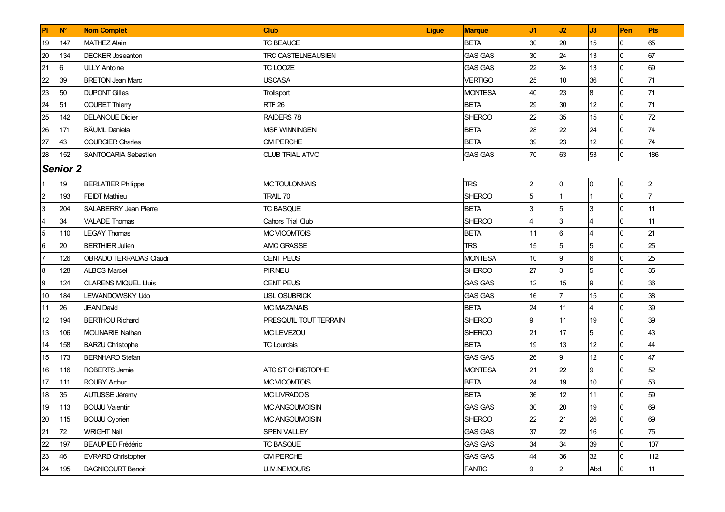| <b>PI</b>        | <b>N°</b>       | <b>Nom Complet</b>            | Club                      | <b>Ligue</b> | <b>Marque</b>  | J1 | J2              | J3                      | Pen            | Pts            |
|------------------|-----------------|-------------------------------|---------------------------|--------------|----------------|----|-----------------|-------------------------|----------------|----------------|
| 19               | 147             | <b>MATHEZ Alain</b>           | <b>TC BEAUCE</b>          |              | <b>BETA</b>    | 30 | 20              | 15                      | 0              | 65             |
| 20               | 134             | <b>DECKER Joseanton</b>       | <b>TRC CASTELNEAUSIEN</b> |              | <b>GAS GAS</b> | 30 | 24              | 13                      | l0             | 67             |
| 21               | 6               | <b>ULLY Antoine</b>           | TC LOOZE                  |              | <b>GAS GAS</b> | 22 | 34              | 13                      | $\overline{0}$ | 69             |
| 22               | 39              | <b>BRETON Jean Marc</b>       | <b>USCASA</b>             |              | <b>VERTIGO</b> | 25 | 10              | 36                      | 0              | 71             |
| 23               | 50              | <b>DUPONT Gilles</b>          | Trollsport                |              | <b>MONTESA</b> | 40 | 23              | $\overline{8}$          | 0              | 71             |
| 24               | 51              | <b>COURET Thierry</b>         | <b>RTF 26</b>             |              | <b>BETA</b>    | 29 | 30              | 12                      | $\overline{0}$ | 71             |
| 25               | 142             | <b>DELANOUE Didier</b>        | RAIDERS 78                |              | <b>SHERCO</b>  | 22 | 35              | 15                      | 0              | 72             |
| 26               | 171             | <b>BÄUML</b> Daniela          | <b>MSF WINNINGEN</b>      |              | <b>BETA</b>    | 28 | 22              | 24                      | $\overline{0}$ | 74             |
| 27               | 43              | <b>COURCIER Charles</b>       | <b>CM PERCHE</b>          |              | <b>BETA</b>    | 39 | 23              | 12                      | l0             | 74             |
| 28               | 152             | <b>SANTOCARIA Sebastien</b>   | <b>CLUB TRIAL ATVO</b>    |              | <b>GAS GAS</b> | 70 | 63              | 53                      | Iо             | 186            |
|                  | <b>Senior 2</b> |                               |                           |              |                |    |                 |                         |                |                |
|                  | 19              | <b>BERLATIER Philippe</b>     | MC TOULONNAIS             |              | <b>TRS</b>     | 2  | 0               | 0                       | 0              | $\overline{2}$ |
| $\overline{2}$   | 193             | <b>FEIDT Mathieu</b>          | <b>TRAIL 70</b>           |              | <b>SHERCO</b>  | 5  |                 |                         | $\overline{0}$ |                |
| $\overline{3}$   | 204             | <b>SALABERRY Jean Pierre</b>  | <b>TC BASQUE</b>          |              | <b>BETA</b>    | 3  | 5               | 3                       | 0              | 11             |
| $\overline{4}$   | 34              | <b>VALADE Thomas</b>          | Cahors Trial Club         |              | <b>SHERCO</b>  | 4  | 3               | 4                       | 0              | 11             |
| $5\phantom{.0}$  | 110             | <b>LEGAY Thomas</b>           | <b>MC VICOMTOIS</b>       |              | <b>BETA</b>    | 11 | $6\phantom{.}6$ | 4                       | $\overline{0}$ | 21             |
| 6                | 20              | <b>BERTHIER Julien</b>        | <b>AMC GRASSE</b>         |              | <b>TRS</b>     | 15 | 5               | $\overline{5}$          | 0              | 25             |
| 17               | 126             | <b>OBRADO TERRADAS Claudi</b> | <b>CENT PEUS</b>          |              | <b>MONTESA</b> | 10 | 9               | $6\phantom{.}6$         | $\overline{0}$ | 25             |
| $\boldsymbol{8}$ | 128             | <b>ALBOS Marcel</b>           | <b>PIRINEU</b>            |              | <b>SHERCO</b>  | 27 | $\overline{3}$  | $5\phantom{.0}$         | 0              | 35             |
| 9                | 124             | <b>CLARENS MIQUEL Lluis</b>   | <b>CENT PEUS</b>          |              | <b>GAS GAS</b> | 12 | 15              | 9                       | 0              | 36             |
| 10               | 184             | LEWANDOWSKY Udo               | <b>USL OSUBRICK</b>       |              | <b>GAS GAS</b> | 16 | $\overline{7}$  | 15                      | $\overline{0}$ | 38             |
| 11               | 26              | <b>JEAN David</b>             | <b>MC MAZANAIS</b>        |              | <b>BETA</b>    | 24 | 11              | $\overline{\mathbf{4}}$ | $\overline{0}$ | 39             |
| 12               | 194             | <b>BERTHOU Richard</b>        | PRESQU'IL TOUT TERRAIN    |              | <b>SHERCO</b>  | 9  | 11              | 19                      | $\overline{0}$ | 39             |
| 13               | 106             | <b>MOLINARIE Nathan</b>       | MC LEVEZOU                |              | <b>SHERCO</b>  | 21 | 17              | $\overline{5}$          | 0              | 43             |
| 14               | 158             | <b>BARZU Christophe</b>       | <b>TC Lourdais</b>        |              | <b>BETA</b>    | 19 | 13              | 12                      | $\overline{0}$ | 44             |
| 15               | 173             | <b>BERNHARD</b> Stefan        |                           |              | <b>GAS GAS</b> | 26 | 9               | 12                      | $\overline{0}$ | 47             |
| 16               | 116             | <b>ROBERTS Jamie</b>          | ATC ST CHRISTOPHE         |              | <b>MONTESA</b> | 21 | 22              | 9                       | $\overline{0}$ | 52             |
| 17               | 111             | <b>ROUBY Arthur</b>           | <b>MC VICOMTOIS</b>       |              | <b>BETA</b>    | 24 | 19              | 10 <sup>10</sup>        | 0              | 53             |
| 18               | 35              | <b>AUTUSSE Jéremy</b>         | <b>MC LIVRADOIS</b>       |              | <b>BETA</b>    | 36 | 12              | 11                      | 0              | 59             |
| 19               | 113             | <b>BOUJU Valentin</b>         | <b>MC ANGOUMOISIN</b>     |              | <b>GAS GAS</b> | 30 | 20              | 19                      | l0             | 69             |
| 20               | 115             | <b>BOUJU Cyprien</b>          | MC ANGOUMOISIN            |              | <b>SHERCO</b>  | 22 | 21              | 26                      | l0             | 69             |
| 21               | 72              | <b>WRIGHT Neil</b>            | SPEN VALLEY               |              | <b>GAS GAS</b> | 37 | 22              | 16                      | 0              | 75             |
| 22               | 197             | <b>BEAUPIED Frédéric</b>      | <b>TC BASQUE</b>          |              | <b>GAS GAS</b> | 34 | 34              | 39                      | 0              | 107            |
| 23               | 46              | <b>EVRARD Christopher</b>     | CM PERCHE                 |              | <b>GAS GAS</b> | 44 | 36              | 32                      | l0             | 112            |
| 24               | 195             | <b>DAGNICOURT Benoit</b>      | <b>U.M.NEMOURS</b>        |              | <b>FANTIC</b>  | 9  | $\overline{c}$  | Abd.                    | 0              | 11             |